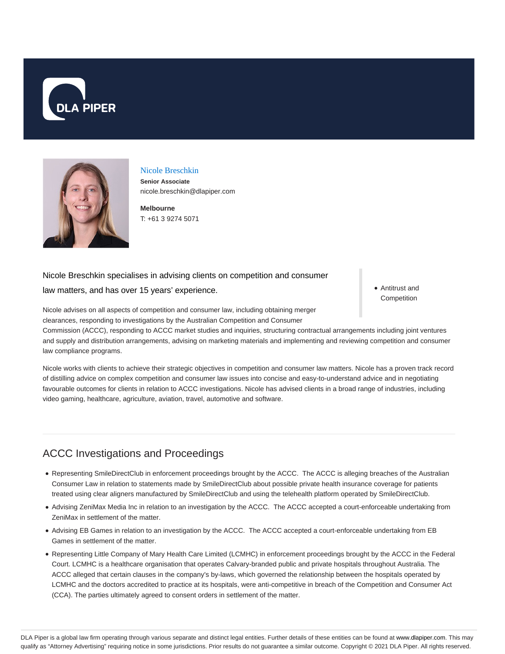



#### Nicole Breschkin

**Senior Associate** nicole.breschkin@dlapiper.com

**Melbourne** T: +61 3 9274 5071

#### Nicole Breschkin specialises in advising clients on competition and consumer

law matters, and has over 15 years' experience.

Antitrust and Competition

Nicole advises on all aspects of competition and consumer law, including obtaining merger clearances, responding to investigations by the Australian Competition and Consumer

Commission (ACCC), responding to ACCC market studies and inquiries, structuring contractual arrangements including joint ventures and supply and distribution arrangements, advising on marketing materials and implementing and reviewing competition and consumer law compliance programs.

Nicole works with clients to achieve their strategic objectives in competition and consumer law matters. Nicole has a proven track record of distilling advice on complex competition and consumer law issues into concise and easy-to-understand advice and in negotiating favourable outcomes for clients in relation to ACCC investigations. Nicole has advised clients in a broad range of industries, including video gaming, healthcare, agriculture, aviation, travel, automotive and software.

# ACCC Investigations and Proceedings

- Representing SmileDirectClub in enforcement proceedings brought by the ACCC. The ACCC is alleging breaches of the Australian Consumer Law in relation to statements made by SmileDirectClub about possible private health insurance coverage for patients treated using clear aligners manufactured by SmileDirectClub and using the telehealth platform operated by SmileDirectClub.
- Advising ZeniMax Media Inc in relation to an investigation by the ACCC. The ACCC accepted a court-enforceable undertaking from ZeniMax in settlement of the matter.
- Advising EB Games in relation to an investigation by the ACCC. The ACCC accepted a court-enforceable undertaking from EB Games in settlement of the matter.
- Representing Little Company of Mary Health Care Limited (LCMHC) in enforcement proceedings brought by the ACCC in the Federal Court. LCMHC is a healthcare organisation that operates Calvary-branded public and private hospitals throughout Australia. The ACCC alleged that certain clauses in the company's by-laws, which governed the relationship between the hospitals operated by LCMHC and the doctors accredited to practice at its hospitals, were anti-competitive in breach of the Competition and Consumer Act (CCA). The parties ultimately agreed to consent orders in settlement of the matter.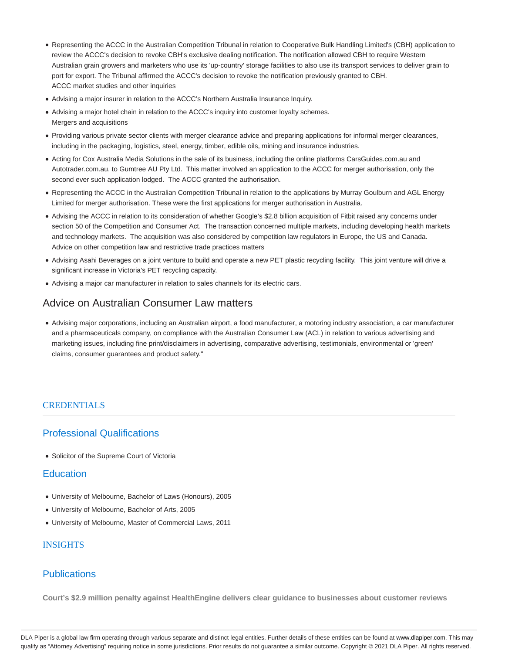- Representing the ACCC in the Australian Competition Tribunal in relation to Cooperative Bulk Handling Limited's (CBH) application to review the ACCC's decision to revoke CBH's exclusive dealing notification. The notification allowed CBH to require Western Australian grain growers and marketers who use its 'up-country' storage facilities to also use its transport services to deliver grain to port for export. The Tribunal affirmed the ACCC's decision to revoke the notification previously granted to CBH. ACCC market studies and other inquiries
- Advising a major insurer in relation to the ACCC's Northern Australia Insurance Inquiry.
- Advising a major hotel chain in relation to the ACCC's inquiry into customer loyalty schemes. Mergers and acquisitions
- Providing various private sector clients with merger clearance advice and preparing applications for informal merger clearances, including in the packaging, logistics, steel, energy, timber, edible oils, mining and insurance industries.
- Acting for Cox Australia Media Solutions in the sale of its business, including the online platforms CarsGuides.com.au and Autotrader.com.au, to Gumtree AU Pty Ltd. This matter involved an application to the ACCC for merger authorisation, only the second ever such application lodged. The ACCC granted the authorisation.
- Representing the ACCC in the Australian Competition Tribunal in relation to the applications by Murray Goulburn and AGL Energy Limited for merger authorisation. These were the first applications for merger authorisation in Australia.
- Advising the ACCC in relation to its consideration of whether Google's \$2.8 billion acquisition of Fitbit raised any concerns under section 50 of the Competition and Consumer Act. The transaction concerned multiple markets, including developing health markets and technology markets. The acquisition was also considered by competition law regulators in Europe, the US and Canada. Advice on other competition law and restrictive trade practices matters
- Advising Asahi Beverages on a joint venture to build and operate a new PET plastic recycling facility. This joint venture will drive a significant increase in Victoria's PET recycling capacity.
- Advising a major car manufacturer in relation to sales channels for its electric cars.

# Advice on Australian Consumer Law matters

Advising major corporations, including an Australian airport, a food manufacturer, a motoring industry association, a car manufacturer and a pharmaceuticals company, on compliance with the Australian Consumer Law (ACL) in relation to various advertising and marketing issues, including fine print/disclaimers in advertising, comparative advertising, testimonials, environmental or 'green' claims, consumer guarantees and product safety."

### **CREDENTIALS**

# Professional Qualifications

Solicitor of the Supreme Court of Victoria

## **Education**

- University of Melbourne, Bachelor of Laws (Honours), 2005
- University of Melbourne, Bachelor of Arts, 2005
- University of Melbourne, Master of Commercial Laws, 2011

#### INSIGHTS

## **Publications**

**Court's \$2.9 million penalty against HealthEngine delivers clear guidance to businesses about customer reviews**

DLA Piper is a global law firm operating through various separate and distinct legal entities. Further details of these entities can be found at www.dlapiper.com. This may qualify as "Attorney Advertising" requiring notice in some jurisdictions. Prior results do not guarantee a similar outcome. Copyright @ 2021 DLA Piper. All rights reserved.